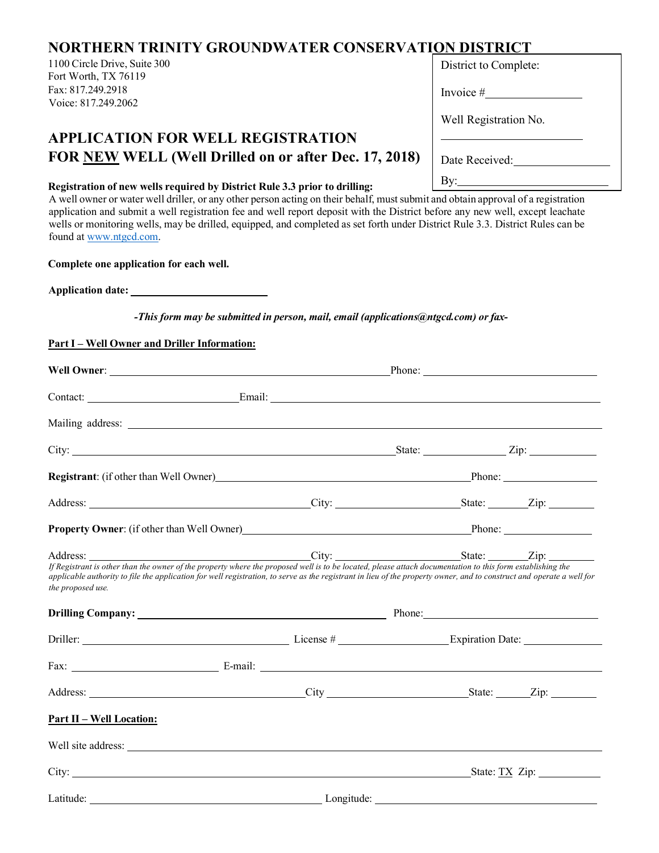## **NORTHERN TRINITY GROUNDWATER CONSERVATION DISTRICT**

1100 Circle Drive, Suite 300 Fort Worth, TX 76119 Fax: 817.249.2918 Voice: 817.249.2062

## **APPLICATION FOR WELL REGISTRATION FOR NEW WELL (Well Drilled on or after Dec. 17, 2018)**

## **Registration of new wells required by District Rule 3.3 prior to drilling:**

A well owner or water well driller, or any other person acting on their behalf, must submit and obtain approval of a registration application and submit a well registration fee and well report deposit with the District before any new well, except leachate wells or monitoring wells, may be drilled, equipped, and completed as set forth under District Rule 3.3. District Rules can be found at [www.ntgcd.com.](http://www.ntgcd.com/)

**Complete one application for each well.** 

**Application date:** 

*-This form may be submitted in person, mail, email (applications@ntgcd.com) or fax-*

## **Part I – Well Owner and Driller Information:**

|                                                                                                                                                                                                                                                                                                                                                         | Phone: $\sqrt{ }$                                                |                      |  |  |
|---------------------------------------------------------------------------------------------------------------------------------------------------------------------------------------------------------------------------------------------------------------------------------------------------------------------------------------------------------|------------------------------------------------------------------|----------------------|--|--|
|                                                                                                                                                                                                                                                                                                                                                         |                                                                  |                      |  |  |
|                                                                                                                                                                                                                                                                                                                                                         |                                                                  |                      |  |  |
| City: <u>City:</u> Zip: 2ip:                                                                                                                                                                                                                                                                                                                            |                                                                  |                      |  |  |
| Registrant: (if other than Well Owner) Phone: Phone: Phone:                                                                                                                                                                                                                                                                                             |                                                                  |                      |  |  |
| Address: <u>City:</u> City: <u>City: State: Zip:</u>                                                                                                                                                                                                                                                                                                    |                                                                  |                      |  |  |
|                                                                                                                                                                                                                                                                                                                                                         | Property Owner: (if other than Well Owner)<br>Phone: Phone: 2014 |                      |  |  |
| If Registrant is other than the owner of the property where the proposed well is to be located, please attach documentation to this form establishing the<br>applicable authority to file the application for well registration, to serve as the registrant in lieu of the property owner, and to construct and operate a well for<br>the proposed use. |                                                                  |                      |  |  |
|                                                                                                                                                                                                                                                                                                                                                         |                                                                  |                      |  |  |
|                                                                                                                                                                                                                                                                                                                                                         |                                                                  |                      |  |  |
|                                                                                                                                                                                                                                                                                                                                                         |                                                                  |                      |  |  |
| Address: City City State: Zip:                                                                                                                                                                                                                                                                                                                          |                                                                  |                      |  |  |
| <u>Part II – Well Location:</u>                                                                                                                                                                                                                                                                                                                         |                                                                  |                      |  |  |
|                                                                                                                                                                                                                                                                                                                                                         |                                                                  |                      |  |  |
|                                                                                                                                                                                                                                                                                                                                                         |                                                                  | City: State: TX Zip: |  |  |
|                                                                                                                                                                                                                                                                                                                                                         |                                                                  |                      |  |  |

| Invoice #             |  |  |  |  |
|-----------------------|--|--|--|--|
| Well Registration No. |  |  |  |  |
| Date Received:        |  |  |  |  |
| By:                   |  |  |  |  |

District to Complete: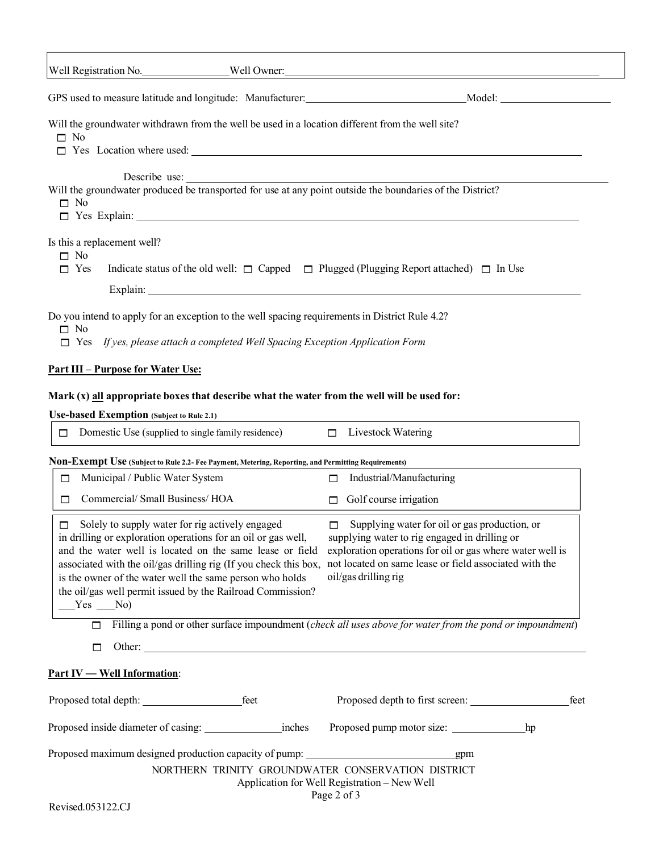| Well Registration No. _____________________Well Owner: _________________________                                                                                                                                                                               |                                                                                                                                                                                                                                                                                                                                                                                   |  |
|----------------------------------------------------------------------------------------------------------------------------------------------------------------------------------------------------------------------------------------------------------------|-----------------------------------------------------------------------------------------------------------------------------------------------------------------------------------------------------------------------------------------------------------------------------------------------------------------------------------------------------------------------------------|--|
|                                                                                                                                                                                                                                                                | GPS used to measure latitude and longitude: Manufacturer: Molecom Model: Model: Model:                                                                                                                                                                                                                                                                                            |  |
| Will the groundwater withdrawn from the well be used in a location different from the well site?<br>$\Box$ No                                                                                                                                                  | $\Box$ Yes Location where used: $\Box$                                                                                                                                                                                                                                                                                                                                            |  |
| $\Box$ No                                                                                                                                                                                                                                                      |                                                                                                                                                                                                                                                                                                                                                                                   |  |
| Is this a replacement well?<br>$\Box$ No<br>$\Box$ Yes                                                                                                                                                                                                         | Indicate status of the old well: $\Box$ Capped $\Box$ Plugged (Plugging Report attached) $\Box$ In Use                                                                                                                                                                                                                                                                            |  |
| Do you intend to apply for an exception to the well spacing requirements in District Rule 4.2?<br>$\Box$ No<br>$\Box$ Yes If yes, please attach a completed Well Spacing Exception Application Form                                                            |                                                                                                                                                                                                                                                                                                                                                                                   |  |
| <u>Part III – Purpose for Water Use:</u>                                                                                                                                                                                                                       |                                                                                                                                                                                                                                                                                                                                                                                   |  |
| Mark (x) all appropriate boxes that describe what the water from the well will be used for:<br><b>Use-based Exemption</b> (Subject to Rule 2.1)                                                                                                                |                                                                                                                                                                                                                                                                                                                                                                                   |  |
| Domestic Use (supplied to single family residence) $\Box$ Livestock Watering<br>$\Box$                                                                                                                                                                         |                                                                                                                                                                                                                                                                                                                                                                                   |  |
| Non-Exempt Use (Subject to Rule 2.2- Fee Payment, Metering, Reporting, and Permitting Requirements)                                                                                                                                                            |                                                                                                                                                                                                                                                                                                                                                                                   |  |
| Municipal / Public Water System<br>□                                                                                                                                                                                                                           | Industrial/Manufacturing<br>$\Box$                                                                                                                                                                                                                                                                                                                                                |  |
| Commercial/Small Business/HOA<br>□                                                                                                                                                                                                                             | $\Box$ Golf course irrigation                                                                                                                                                                                                                                                                                                                                                     |  |
| Solely to supply water for rig actively engaged<br>□<br>in drilling or exploration operations for an oil or gas well,<br>is the owner of the water well the same person who holds<br>the oil/gas well permit issued by the Railroad Commission?<br>$Yes$ $No)$ | Supplying water for oil or gas production, or<br>$\Box$<br>supplying water to rig engaged in drilling or<br>and the water well is located on the same lease or field exploration operations for oil or gas where water well is<br>associated with the oil/gas drilling rig (If you check this box, not located on same lease or field associated with the<br>oil/gas drilling rig |  |
| $\Box$                                                                                                                                                                                                                                                         | Filling a pond or other surface impoundment (check all uses above for water from the pond or impoundment)                                                                                                                                                                                                                                                                         |  |
| $\Box$                                                                                                                                                                                                                                                         |                                                                                                                                                                                                                                                                                                                                                                                   |  |
| <b>Part IV - Well Information:</b>                                                                                                                                                                                                                             |                                                                                                                                                                                                                                                                                                                                                                                   |  |
|                                                                                                                                                                                                                                                                | Proposed depth to first screen:<br>feet                                                                                                                                                                                                                                                                                                                                           |  |
|                                                                                                                                                                                                                                                                |                                                                                                                                                                                                                                                                                                                                                                                   |  |
| Proposed maximum designed production capacity of pump: _________________________                                                                                                                                                                               | gpm<br>NORTHERN TRINITY GROUNDWATER CONSERVATION DISTRICT<br>Application for Well Registration - New Well<br>Page 2 of 3                                                                                                                                                                                                                                                          |  |

 $\overline{\Gamma}$